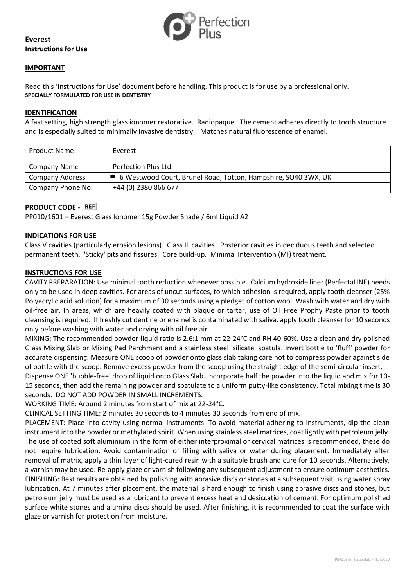

# **Everest Instructions for Use**

#### **IMPORTANT**

Read this 'Instructions for Use' document before handling. This product is for use by a professional only. **SPECIALLY FORMULATED FOR USE IN DENTISTRY**

#### **IDENTIFICATION**

A fast setting, high strength glass ionomer restorative. Radiopaque. The cement adheres directly to tooth structure and is especially suited to minimally invasive dentistry. Matches natural fluorescence of enamel.

| <b>Product Name</b>    | Everest                                                        |
|------------------------|----------------------------------------------------------------|
| Company Name           | <b>Perfection Plus Ltd</b>                                     |
| <b>Company Address</b> | 6 Westwood Court, Brunel Road, Totton, Hampshire, SO40 3WX, UK |
| Company Phone No.      | +44 (0) 2380 866 677                                           |

# **PRODUCT CODE -** REF

PP010/1601 – Everest Glass Ionomer 15g Powder Shade / 6ml Liquid A2

#### **INDICATIONS FOR USE**

Class V cavities (particularly erosion lesions). Class Ill cavities. Posterior cavities in deciduous teeth and selected permanent teeth. 'Sticky' pits and fissures. Core build-up. Minimal Intervention (MI) treatment.

## **INSTRUCTIONS FOR USE**

CAVITY PREPARATION: Use minimal tooth reduction whenever possible. Calcium hydroxide liner (PerfectaLINE) needs only to be used in deep cavities. For areas of uncut surfaces, to which adhesion is required, apply tooth cleanser (25% Polyacrylic acid solution) for a maximum of 30 seconds using a pledget of cotton wool. Wash with water and dry with oil-free air. In areas, which are heavily coated with plaque or tartar, use of Oil Free Prophy Paste prior to tooth cleansing is required. If freshly cut dentine or enamel is contaminated with saliva, apply tooth cleanser for 10 seconds only before washing with water and drying with oil free air.

MIXING: The recommended powder-liquid ratio is 2.6:1 mm at 22-24°C and RH 40-60%. Use a clean and dry polished Glass Mixing Slab or Mixing Pad Parchment and a stainless steel 'silicate' spatula. Invert bottle to 'fluff' powder for accurate dispensing. Measure ONE scoop of powder onto glass slab taking care not to compress powder against side of bottle with the scoop. Remove excess powder from the scoop using the straight edge of the semi-circular insert.

Dispense ONE 'bubble-free' drop of liquid onto Glass Slab. Incorporate half the powder into the liquid and mix for 10- 15 seconds, then add the remaining powder and spatulate to a uniform putty-like consistency. Total mixing time is 30 seconds. DO NOT ADD POWDER IN SMALL INCREMENTS.

WORKING TIME: Around 2 minutes from start of mix at 22-24°C.

CLINICAL SETTING TIME: 2 minutes 30 seconds to 4 minutes 30 seconds from end of mix.

PLACEMENT: Place into cavity using normal instruments. To avoid material adhering to instruments, dip the clean instrument into the powder or methylated spirit. When using stainless steel matrices, coat lightly with petroleum jelly. The use of coated soft aluminium in the form of either interproximal or cervical matrices is recommended, these do not require lubrication. Avoid contamination of filling with saliva or water during placement. Immediately after removal of matrix, apply a thin layer of light-cured resin with a suitable brush and cure for 10 seconds. Alternatively, a varnish may be used. Re-apply glaze or varnish following any subsequent adjustment to ensure optimum aesthetics. FINISHING: Best results are obtained by polishing with abrasive discs or stones at a subsequent visit using water spray lubrication. At 7 minutes after placement, the material is hard enough to finish using abrasive discs and stones, but petroleum jelly must be used as a lubricant to prevent excess heat and desiccation of cement. For optimum polished surface white stones and alumina discs should be used. After finishing, it is recommended to coat the surface with glaze or varnish for protection from moisture.